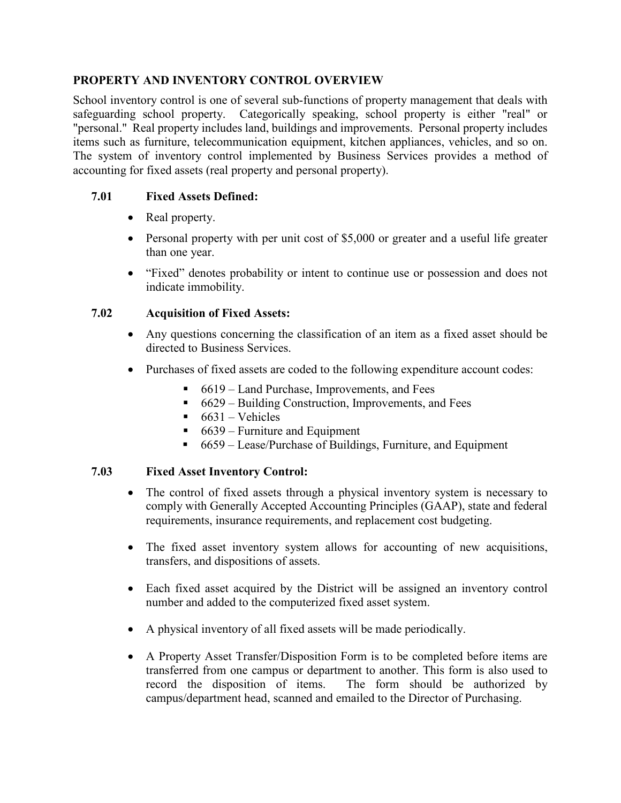### **PROPERTY AND INVENTORY CONTROL OVERVIEW**

School inventory control is one of several sub-functions of property management that deals with safeguarding school property. Categorically speaking, school property is either "real" or "personal." Real property includes land, buildings and improvements. Personal property includes items such as furniture, telecommunication equipment, kitchen appliances, vehicles, and so on. The system of inventory control implemented by Business Services provides a method of accounting for fixed assets (real property and personal property).

# **7.01 Fixed Assets Defined:**

- Real property.
- Personal property with per unit cost of \$5,000 or greater and a useful life greater than one year.
- "Fixed" denotes probability or intent to continue use or possession and does not indicate immobility.

# **7.02 Acquisition of Fixed Assets:**

- Any questions concerning the classification of an item as a fixed asset should be directed to Business Services.
- Purchases of fixed assets are coded to the following expenditure account codes:
	- 6619 Land Purchase, Improvements, and Fees
	- $\bullet$  6629 Building Construction, Improvements, and Fees
	- $-6631 Vehicles$
	- $\blacksquare$  6639 Furniture and Equipment
	- 6659 Lease/Purchase of Buildings, Furniture, and Equipment

### **7.03 Fixed Asset Inventory Control:**

- The control of fixed assets through a physical inventory system is necessary to comply with Generally Accepted Accounting Principles (GAAP), state and federal requirements, insurance requirements, and replacement cost budgeting.
- The fixed asset inventory system allows for accounting of new acquisitions, transfers, and dispositions of assets.
- Each fixed asset acquired by the District will be assigned an inventory control number and added to the computerized fixed asset system.
- A physical inventory of all fixed assets will be made periodically.
- A Property Asset Transfer/Disposition Form is to be completed before items are transferred from one campus or department to another. This form is also used to record the disposition of items. The form should be authorized by campus/department head, scanned and emailed to the Director of Purchasing.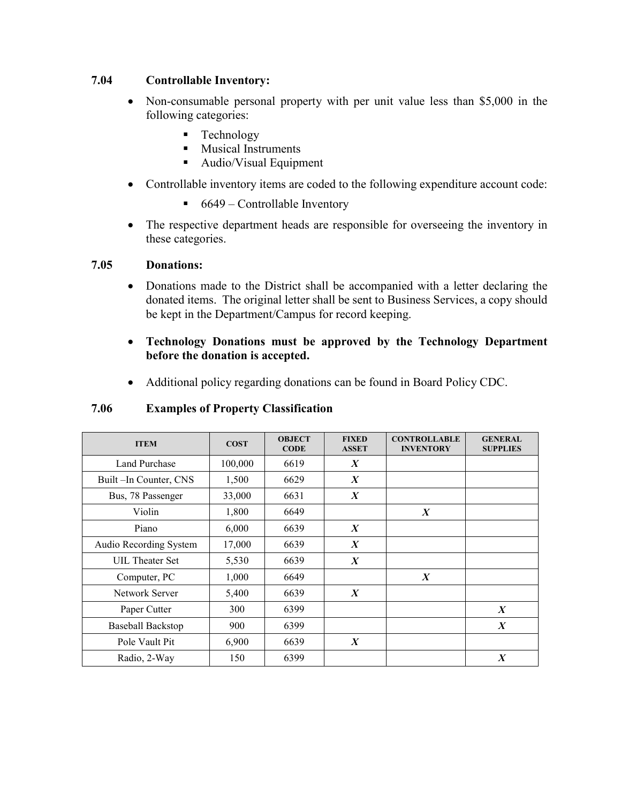### **7.04 Controllable Inventory:**

- Non-consumable personal property with per unit value less than \$5,000 in the following categories:
	- **Technology**
	- **Musical Instruments**
	- Audio/Visual Equipment
- Controllable inventory items are coded to the following expenditure account code:
	- $\blacksquare$  6649 Controllable Inventory
- The respective department heads are responsible for overseeing the inventory in these categories.

#### **7.05 Donations:**

- Donations made to the District shall be accompanied with a letter declaring the donated items. The original letter shall be sent to Business Services, a copy should be kept in the Department/Campus for record keeping.
- **Technology Donations must be approved by the Technology Department before the donation is accepted.**
- Additional policy regarding donations can be found in Board Policy CDC.

### **7.06 Examples of Property Classification**

| <b>ITEM</b>              | <b>COST</b> | <b>OBJECT</b><br><b>CODE</b> | <b>FIXED</b><br><b>ASSET</b> | <b>CONTROLLABLE</b><br><b>INVENTORY</b> | <b>GENERAL</b><br><b>SUPPLIES</b> |
|--------------------------|-------------|------------------------------|------------------------------|-----------------------------------------|-----------------------------------|
| Land Purchase            | 100,000     | 6619                         | $\boldsymbol{X}$             |                                         |                                   |
| Built –In Counter, CNS   | 1,500       | 6629                         | $\boldsymbol{X}$             |                                         |                                   |
| Bus, 78 Passenger        | 33,000      | 6631                         | $\boldsymbol{X}$             |                                         |                                   |
| Violin                   | 1,800       | 6649                         |                              | $\boldsymbol{X}$                        |                                   |
| Piano                    | 6,000       | 6639                         | $\boldsymbol{X}$             |                                         |                                   |
| Audio Recording System   | 17,000      | 6639                         | $\boldsymbol{X}$             |                                         |                                   |
| UIL Theater Set          | 5,530       | 6639                         | $\boldsymbol{X}$             |                                         |                                   |
| Computer, PC             | 1,000       | 6649                         |                              | $\boldsymbol{X}$                        |                                   |
| Network Server           | 5,400       | 6639                         | $\boldsymbol{X}$             |                                         |                                   |
| Paper Cutter             | 300         | 6399                         |                              |                                         | $\boldsymbol{X}$                  |
| <b>Baseball Backstop</b> | 900         | 6399                         |                              |                                         | $\boldsymbol{X}$                  |
| Pole Vault Pit           | 6,900       | 6639                         | $\boldsymbol{X}$             |                                         |                                   |
| Radio, 2-Way             | 150         | 6399                         |                              |                                         | $\boldsymbol{X}$                  |